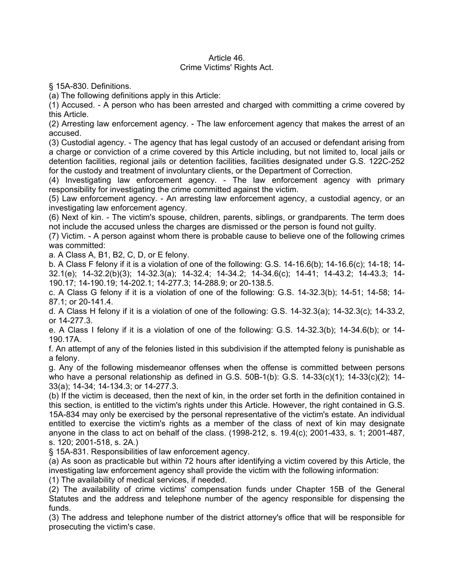## Article 46. Crime Victims' Rights Act.

§ 15A-830. Definitions.

(a) The following definitions apply in this Article:

(1) Accused. - A person who has been arrested and charged with committing a crime covered by this Article.

(2) Arresting law enforcement agency. - The law enforcement agency that makes the arrest of an accused.

(3) Custodial agency. - The agency that has legal custody of an accused or defendant arising from a charge or conviction of a crime covered by this Article including, but not limited to, local jails or detention facilities, regional jails or detention facilities, facilities designated under G.S. 122C-252 for the custody and treatment of involuntary clients, or the Department of Correction.

(4) Investigating law enforcement agency. - The law enforcement agency with primary responsibility for investigating the crime committed against the victim.

(5) Law enforcement agency. - An arresting law enforcement agency, a custodial agency, or an investigating law enforcement agency.

(6) Next of kin. - The victim's spouse, children, parents, siblings, or grandparents. The term does not include the accused unless the charges are dismissed or the person is found not guilty.

(7) Victim. - A person against whom there is probable cause to believe one of the following crimes was committed:

a. A Class A, B1, B2, C, D, or E felony.

b. A Class F felony if it is a violation of one of the following: G.S. 14-16.6(b); 14-16.6(c); 14-18; 14- 32.1(e); 14-32.2(b)(3); 14-32.3(a); 14-32.4; 14-34.2; 14-34.6(c); 14-41; 14-43.2; 14-43.3; 14- 190.17; 14-190.19; 14-202.1; 14-277.3; 14-288.9; or 20-138.5.

c. A Class G felony if it is a violation of one of the following: G.S. 14-32.3(b); 14-51; 14-58; 14- 87.1; or 20-141.4.

d. A Class H felony if it is a violation of one of the following: G.S. 14-32.3(a); 14-32.3(c); 14-33.2, or 14-277.3.

e. A Class I felony if it is a violation of one of the following: G.S. 14-32.3(b); 14-34.6(b); or 14- 190.17A.

f. An attempt of any of the felonies listed in this subdivision if the attempted felony is punishable as a felony.

g. Any of the following misdemeanor offenses when the offense is committed between persons who have a personal relationship as defined in G.S.  $50B-1(b)$ : G.S.  $14-33(c)(1)$ ;  $14-33(c)(2)$ ;  $14-$ 33(a); 14-34; 14-134.3; or 14-277.3.

(b) If the victim is deceased, then the next of kin, in the order set forth in the definition contained in this section, is entitled to the victim's rights under this Article. However, the right contained in G.S. 15A-834 may only be exercised by the personal representative of the victim's estate. An individual entitled to exercise the victim's rights as a member of the class of next of kin may designate anyone in the class to act on behalf of the class. (1998-212, s. 19.4(c); 2001-433, s. 1; 2001-487, s. 120; 2001-518, s. 2A.)

§ 15A-831. Responsibilities of law enforcement agency.

(a) As soon as practicable but within 72 hours after identifying a victim covered by this Article, the investigating law enforcement agency shall provide the victim with the following information:

(1) The availability of medical services, if needed.

(2) The availability of crime victims' compensation funds under Chapter 15B of the General Statutes and the address and telephone number of the agency responsible for dispensing the funds.

(3) The address and telephone number of the district attorney's office that will be responsible for prosecuting the victim's case.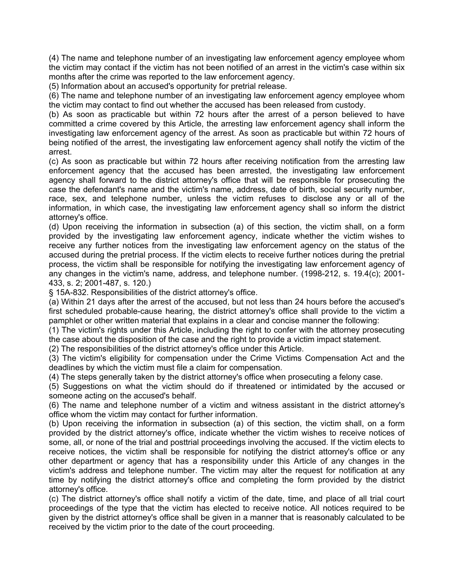(4) The name and telephone number of an investigating law enforcement agency employee whom the victim may contact if the victim has not been notified of an arrest in the victim's case within six months after the crime was reported to the law enforcement agency.

(5) Information about an accused's opportunity for pretrial release.

(6) The name and telephone number of an investigating law enforcement agency employee whom the victim may contact to find out whether the accused has been released from custody.

(b) As soon as practicable but within 72 hours after the arrest of a person believed to have committed a crime covered by this Article, the arresting law enforcement agency shall inform the investigating law enforcement agency of the arrest. As soon as practicable but within 72 hours of being notified of the arrest, the investigating law enforcement agency shall notify the victim of the arrest.

(c) As soon as practicable but within 72 hours after receiving notification from the arresting law enforcement agency that the accused has been arrested, the investigating law enforcement agency shall forward to the district attorney's office that will be responsible for prosecuting the case the defendant's name and the victim's name, address, date of birth, social security number, race, sex, and telephone number, unless the victim refuses to disclose any or all of the information, in which case, the investigating law enforcement agency shall so inform the district attorney's office.

(d) Upon receiving the information in subsection (a) of this section, the victim shall, on a form provided by the investigating law enforcement agency, indicate whether the victim wishes to receive any further notices from the investigating law enforcement agency on the status of the accused during the pretrial process. If the victim elects to receive further notices during the pretrial process, the victim shall be responsible for notifying the investigating law enforcement agency of any changes in the victim's name, address, and telephone number. (1998-212, s. 19.4(c); 2001- 433, s. 2; 2001-487, s. 120.)

§ 15A-832. Responsibilities of the district attorney's office.

(a) Within 21 days after the arrest of the accused, but not less than 24 hours before the accused's first scheduled probable-cause hearing, the district attorney's office shall provide to the victim a pamphlet or other written material that explains in a clear and concise manner the following:

(1) The victim's rights under this Article, including the right to confer with the attorney prosecuting the case about the disposition of the case and the right to provide a victim impact statement.

(2) The responsibilities of the district attorney's office under this Article.

(3) The victim's eligibility for compensation under the Crime Victims Compensation Act and the deadlines by which the victim must file a claim for compensation.

(4) The steps generally taken by the district attorney's office when prosecuting a felony case.

(5) Suggestions on what the victim should do if threatened or intimidated by the accused or someone acting on the accused's behalf.

(6) The name and telephone number of a victim and witness assistant in the district attorney's office whom the victim may contact for further information.

(b) Upon receiving the information in subsection (a) of this section, the victim shall, on a form provided by the district attorney's office, indicate whether the victim wishes to receive notices of some, all, or none of the trial and posttrial proceedings involving the accused. If the victim elects to receive notices, the victim shall be responsible for notifying the district attorney's office or any other department or agency that has a responsibility under this Article of any changes in the victim's address and telephone number. The victim may alter the request for notification at any time by notifying the district attorney's office and completing the form provided by the district attorney's office.

(c) The district attorney's office shall notify a victim of the date, time, and place of all trial court proceedings of the type that the victim has elected to receive notice. All notices required to be given by the district attorney's office shall be given in a manner that is reasonably calculated to be received by the victim prior to the date of the court proceeding.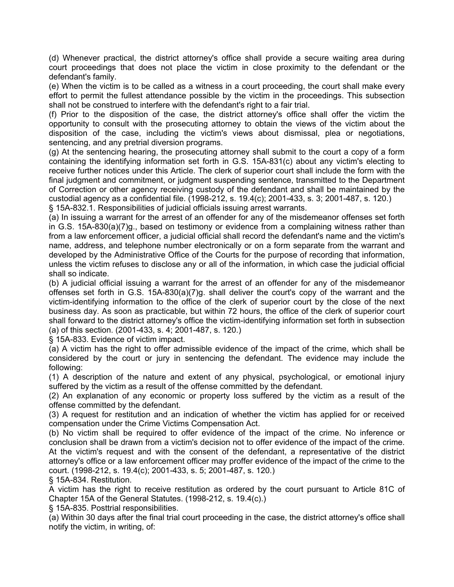(d) Whenever practical, the district attorney's office shall provide a secure waiting area during court proceedings that does not place the victim in close proximity to the defendant or the defendant's family.

(e) When the victim is to be called as a witness in a court proceeding, the court shall make every effort to permit the fullest attendance possible by the victim in the proceedings. This subsection shall not be construed to interfere with the defendant's right to a fair trial.

(f) Prior to the disposition of the case, the district attorney's office shall offer the victim the opportunity to consult with the prosecuting attorney to obtain the views of the victim about the disposition of the case, including the victim's views about dismissal, plea or negotiations, sentencing, and any pretrial diversion programs.

(g) At the sentencing hearing, the prosecuting attorney shall submit to the court a copy of a form containing the identifying information set forth in G.S. 15A-831(c) about any victim's electing to receive further notices under this Article. The clerk of superior court shall include the form with the final judgment and commitment, or judgment suspending sentence, transmitted to the Department of Correction or other agency receiving custody of the defendant and shall be maintained by the custodial agency as a confidential file. (1998-212, s. 19.4(c); 2001-433, s. 3; 2001-487, s. 120.)

§ 15A-832.1. Responsibilities of judicial officials issuing arrest warrants.

(a) In issuing a warrant for the arrest of an offender for any of the misdemeanor offenses set forth in G.S. 15A-830(a)(7)g., based on testimony or evidence from a complaining witness rather than from a law enforcement officer, a judicial official shall record the defendant's name and the victim's name, address, and telephone number electronically or on a form separate from the warrant and developed by the Administrative Office of the Courts for the purpose of recording that information, unless the victim refuses to disclose any or all of the information, in which case the judicial official shall so indicate.

(b) A judicial official issuing a warrant for the arrest of an offender for any of the misdemeanor offenses set forth in G.S. 15A-830(a)(7)g. shall deliver the court's copy of the warrant and the victim-identifying information to the office of the clerk of superior court by the close of the next business day. As soon as practicable, but within 72 hours, the office of the clerk of superior court shall forward to the district attorney's office the victim-identifying information set forth in subsection (a) of this section. (2001-433, s. 4; 2001-487, s. 120.)

§ 15A-833. Evidence of victim impact.

(a) A victim has the right to offer admissible evidence of the impact of the crime, which shall be considered by the court or jury in sentencing the defendant. The evidence may include the following:

(1) A description of the nature and extent of any physical, psychological, or emotional injury suffered by the victim as a result of the offense committed by the defendant.

(2) An explanation of any economic or property loss suffered by the victim as a result of the offense committed by the defendant.

(3) A request for restitution and an indication of whether the victim has applied for or received compensation under the Crime Victims Compensation Act.

(b) No victim shall be required to offer evidence of the impact of the crime. No inference or conclusion shall be drawn from a victim's decision not to offer evidence of the impact of the crime. At the victim's request and with the consent of the defendant, a representative of the district attorney's office or a law enforcement officer may proffer evidence of the impact of the crime to the court. (1998-212, s. 19.4(c); 2001-433, s. 5; 2001-487, s. 120.)

§ 15A-834. Restitution.

A victim has the right to receive restitution as ordered by the court pursuant to Article 81C of Chapter 15A of the General Statutes. (1998-212, s. 19.4(c).)

§ 15A-835. Posttrial responsibilities.

(a) Within 30 days after the final trial court proceeding in the case, the district attorney's office shall notify the victim, in writing, of: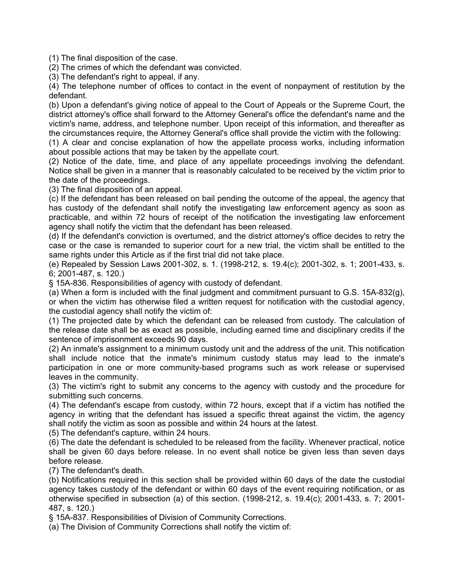(1) The final disposition of the case.

(2) The crimes of which the defendant was convicted.

(3) The defendant's right to appeal, if any.

(4) The telephone number of offices to contact in the event of nonpayment of restitution by the defendant.

(b) Upon a defendant's giving notice of appeal to the Court of Appeals or the Supreme Court, the district attorney's office shall forward to the Attorney General's office the defendant's name and the victim's name, address, and telephone number. Upon receipt of this information, and thereafter as the circumstances require, the Attorney General's office shall provide the victim with the following:

(1) A clear and concise explanation of how the appellate process works, including information about possible actions that may be taken by the appellate court.

(2) Notice of the date, time, and place of any appellate proceedings involving the defendant. Notice shall be given in a manner that is reasonably calculated to be received by the victim prior to the date of the proceedings.

(3) The final disposition of an appeal.

(c) If the defendant has been released on bail pending the outcome of the appeal, the agency that has custody of the defendant shall notify the investigating law enforcement agency as soon as practicable, and within 72 hours of receipt of the notification the investigating law enforcement agency shall notify the victim that the defendant has been released.

(d) If the defendant's conviction is overturned, and the district attorney's office decides to retry the case or the case is remanded to superior court for a new trial, the victim shall be entitled to the same rights under this Article as if the first trial did not take place.

(e) Repealed by Session Laws 2001-302, s. 1. (1998-212, s. 19.4(c); 2001-302, s. 1; 2001-433, s. 6; 2001-487, s. 120.)

§ 15A-836. Responsibilities of agency with custody of defendant.

(a) When a form is included with the final judgment and commitment pursuant to G.S. 15A-832(g), or when the victim has otherwise filed a written request for notification with the custodial agency, the custodial agency shall notify the victim of:

(1) The projected date by which the defendant can be released from custody. The calculation of the release date shall be as exact as possible, including earned time and disciplinary credits if the sentence of imprisonment exceeds 90 days.

(2) An inmate's assignment to a minimum custody unit and the address of the unit. This notification shall include notice that the inmate's minimum custody status may lead to the inmate's participation in one or more community-based programs such as work release or supervised leaves in the community.

(3) The victim's right to submit any concerns to the agency with custody and the procedure for submitting such concerns.

(4) The defendant's escape from custody, within 72 hours, except that if a victim has notified the agency in writing that the defendant has issued a specific threat against the victim, the agency shall notify the victim as soon as possible and within 24 hours at the latest.

(5) The defendant's capture, within 24 hours.

(6) The date the defendant is scheduled to be released from the facility. Whenever practical, notice shall be given 60 days before release. In no event shall notice be given less than seven days before release.

(7) The defendant's death.

(b) Notifications required in this section shall be provided within 60 days of the date the custodial agency takes custody of the defendant or within 60 days of the event requiring notification, or as otherwise specified in subsection (a) of this section. (1998-212, s. 19.4(c); 2001-433, s. 7; 2001- 487, s. 120.)

§ 15A-837. Responsibilities of Division of Community Corrections.

(a) The Division of Community Corrections shall notify the victim of: